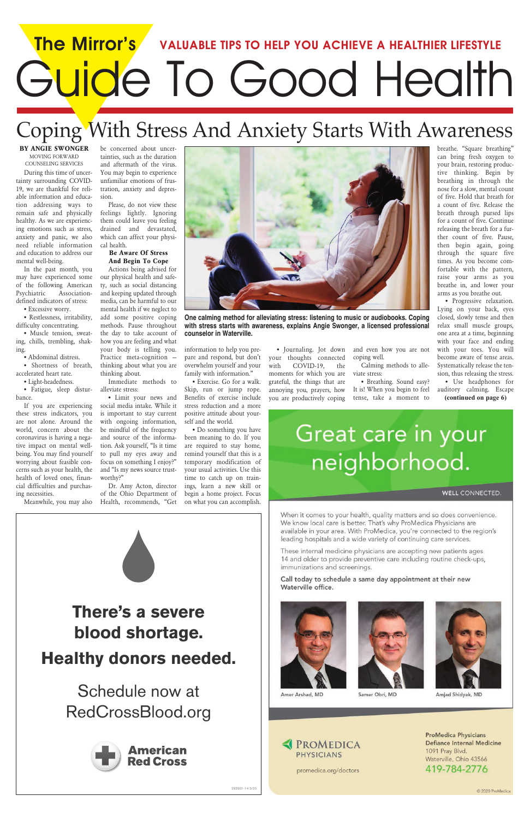# **The Mirror's VALUABLE TIPS TO HELP YOU ACHIEVE A HEALTHIER LIFESTYLE** Guide To Good Health

### Coping With Stress And Anxiety Starts With Awareness

**BY ANGIE SWONGER** MOVING FORWARD COUNSELING SERVICES

During this time of uncertainty surrounding COVID-19, we are thankful for reliable information and education addressing ways to remain safe and physically healthy. As we are experiencing emotions such as stress, anxiety and panic, we also need reliable information and education to address our mental well-being.

In the past month, you may have experienced some of the following American Psychiatric Associationdefined indicators of stress:

• Excessive worry.

• Restlessness, irritability, difficulty concentrating.

• Muscle tension, sweating, chills, trembling, shaking.

• Abdominal distress.

• Shortness of breath, accelerated heart rate.

• Light-headedness.

• Fatigue, sleep disturbance.

If you are experiencing these stress indicators, you are not alone. Around the world, concern about the coronavirus is having a negative impact on mental wellbeing. You may find yourself worrying about feasible concerns such as your health, the health of loved ones, financial difficulties and purchasing necessities.

Meanwhile, you may also

be concerned about uncertainties, such as the duration and aftermath of the virus. You may begin to experience unfamiliar emotions of frustration, anxiety and depression.

Please, do not view these feelings lightly. Ignoring them could leave you feeling drained and devastated, which can affect your physical health.

#### **Be Aware Of Stress And Begin To Cope**

Actions being advised for our physical health and safety, such as social distancing and keeping updated through media, can be harmful to our mental health if we neglect to add some positive coping methods. Pause throughout the day to take account of how you are feeling and what your body is telling you. Practice meta-cognition – thinking about what you are thinking about.

Immediate methods to alleviate stress:

• Limit your news and social media intake. While it is important to stay current with ongoing information, be mindful of the frequency and source of the information. Ask yourself, "Is it time to pull my eyes away and focus on something I enjoy?" and "Is my news source trustworthy?"

Dr. Amy Acton, director of the Ohio Department of Health, recommends, "Get

information to help you prepare and respond, but don't overwhelm yourself and your family with information."

• Exercise. Go for a walk. Skip, run or jump rope. Benefits of exercise include stress reduction and a more positive attitude about yourself and the world.

• Do something you have been meaning to do. If you are required to stay home, remind yourself that this is a temporary modification of your usual activities. Use this time to catch up on trainings, learn a new skill or begin a home project. Focus on what you can accomplish.

• Journaling. Jot down your thoughts connected with COVID-19, the moments for which you are grateful, the things that are annoying you, prayers, how you are productively coping

and even how you are not coping well.

Calming methods to alleviate stress:

• Breathing. Sound easy? It is! When you begin to feel tense, take a moment to

breathe. "Square breathing" can bring fresh oxygen to

your brain, restoring productive thinking. Begin by breathing in through the nose for a slow, mental count of five. Hold that breath for a count of five. Release the breath through pursed lips for a count of five. Continue releasing the breath for a further count of five. Pause, then begin again, going through the square five times. As you become comfortable with the pattern, raise your arms as you breathe in, and lower your arms as you breathe out. • Progressive relaxation.

Lying on your back, eyes closed, slowly tense and then relax small muscle groups, one area at a time, beginning with your face and ending with your toes. You will become aware of tense areas. Systematically release the tension, thus releasing the stress.



**One calming method for alleviating stress: listening to music or audiobooks. Coping with stress starts with awareness, explains Angie Swonger, a licensed professional counselor in Waterville.**

• Use headphones for auditory calming. Escape **(continued on page 6)**

## Great care in your neighborhood.

**WELL CONNECTED.** 

When it comes to your health, quality matters and so does convenience. We know local care is better. That's why ProMedica Physicians are available in your area. With ProMedica, you're connected to the region's leading hospitals and a wide variety of continuing care services.

These internal medicine physicians are accepting new patients ages 14 and older to provide preventive care including routine check-ups, immunizations and screenings.

Call today to schedule a same day appointment at their new Waterville office.

**There's a severe blood shortage. Healthy donors needed.**

### Schedule now at RedCrossBlood.org



292901-14 3/20







Samer Obri, MD

Amjad Shidyak, MD

**EXPROMEDICA PHYSICIANS** 

promedica.org/doctors

**ProMedica Physicians Defiance Internal Medicine** 1091 Pray Blvd. Waterville, Ohio 43566 419-784-2776

© 2020 ProMedica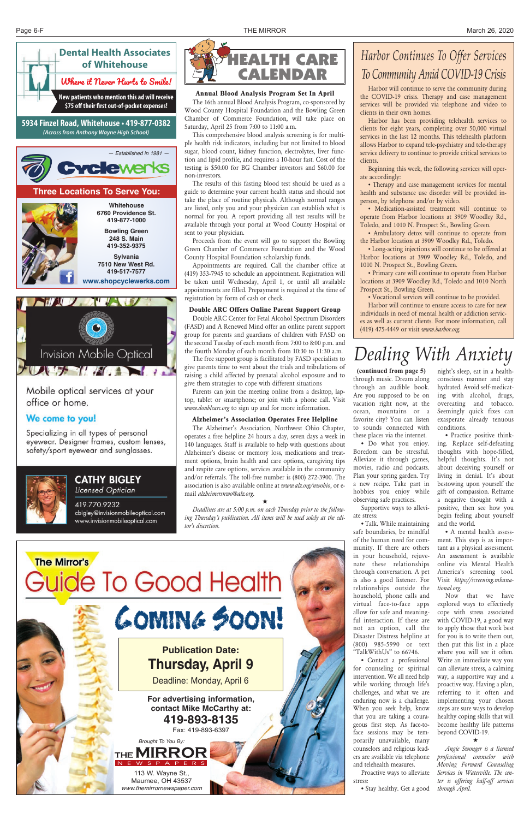### *Dealing With Anxiety*



office or home.

#### We come to you!

Specializing in all types of personal eyewear. Designer frames, custom lenses, safety/sport eyewear and sunglasses.



#### **CATHY BIGLEY** Licensed Optician

419.770.9232 cbigley@invisionmobileoptical.com www.invisionmobileoptical.com

• Do what you enjoy. Boredom can be stressful. Alleviate it through games, movies, radio and podcasts. Plan your spring garden. Try a new recipe. Take part in hobbies you enjoy while observing safe practices.

Supportive ways to alleviate stress:

• Talk. While maintaining safe boundaries, be mindful of the human need for community. If there are others in your household, rejuvenate these relationships through conversation. A pet is also a good listener. For relationships outside the household, phone calls and virtual face-to-face apps allow for safe and meaningful interaction. If these are not an option, call the Disaster Distress helpline at (800) 985-5990 or text "TalkWithUs" to 66746. • Contact a professional for counseling or spiritual intervention. We all need help while working through life's challenges, and what we are enduring now is a challenge. When you seek help, know that you are taking a courageous first step. As face-toface sessions may be temporarily unavailable, many counselors and religious leaders are available via telephone and telehealth measures. Proactive ways to alleviate stress:

*Brought To You By:* THE **MIRROI** WSPAPERS

• Stay healthy. Get a good

#### $\star$

night's sleep, eat in a healthconscious manner and stay hydrated. Avoid self-medicating with alcohol, drugs, overeating and tobacco. Seemingly quick fixes can exasperate already tenuous conditions.

through music. Dream along through an audible book. Are you supposed to be on vacation right now, at the ocean, mountains or a favorite city? You can listen to sounds connected with these places via the internet. **(continued from page 5)**

• Practice positive thinking. Replace self-defeating thoughts with hope-filled, helpful thoughts. It's not about deceiving yourself or living in denial. It's about bestowing upon yourself the gift of compassion. Reframe a negative thought with a positive, then see how you begin feeling about yourself and the world.

• A mental health assessment. This step is as important as a physical assessment. An assessment is available online via Mental Health America's screening tool. Visit *https://screening.mhanational.org.*

Now that we have explored ways to effectively cope with stress associated with COVID-19, a good way to apply those that work best for you is to write them out, then put this list in a place where you will see it often. Write an immediate way you can alleviate stress, a calming way, a supportive way and a proactive way. Having a plan, referring to it often and implementing your chosen steps are sure ways to develop healthy coping skills that will become healthy life patterns beyond COVID-19.



*Angie Swonger is a licensed professional counselor with Moving Forward Counseling Services in Waterville. The center is offering half-off services through April.* 

## Coming Soon!

#### **Publication Date: Thursday, April 9**

Deadline: Monday, April 6

**For advertising information, contact Mike McCarthy at: 419-893-8135**  Fax: 419-893-6397

113 W. Wayne St., Maumee, OH 43537 *www.themirrornewspaper.com*





#### **Annual Blood Analysis Program Set In April**

The 16th annual Blood Analysis Program, co-sponsored by Wood County Hospital Foundation and the Bowling Green Chamber of Commerce Foundation, will take place on Saturday, April 25 from 7:00 to 11:00 a.m.

This comprehensive blood analysis screening is for multiple health risk indicators, including but not limited to blood sugar, blood count, kidney function, electrolytes, liver function and lipid profile, and requires a 10-hour fast. Cost of the testing is \$50.00 for BG Chamber investors and \$60.00 for non-investors.

The results of this fasting blood test should be used as a guide to determine your current health status and should not take the place of routine physicals. Although normal ranges are listed, only you and your physician can establish what is normal for you. A report providing all test results will be available through your portal at Wood County Hospital or sent to your physician.

Proceeds from the event will go to support the Bowling Green Chamber of Commerce Foundation and the Wood County Hospital Foundation scholarship funds.

Appointments are required. Call the chamber office at (419) 353-7945 to schedule an appointment. Registration will be taken until Wednesday, April 1, or until all available appointments are filled. Prepayment is required at the time of registration by form of cash or check.

#### **Double ARC Offers Online Parent Support Group**

Double ARC Center for Fetal Alcohol Spectrum Disorders (FASD) and A Renewed Mind offer an online parent support group for parents and guardians of children with FASD on the second Tuesday of each month from 7:00 to 8:00 p.m. and the fourth Monday of each month from 10:30 to 11:30 a.m.

The free support group is facilitated by FASD specialists to give parents time to vent about the trials and tribulations of raising a child affected by prenatal alcohol exposure and to give them strategies to cope with different situations

Parents can join the meeting online from a desktop, laptop, tablet or smartphone; or join with a phone call. Visit *www.doublearc.org* to sign up and for more information.

#### **Alzheimer's Association Operates Free Helpline**

The Alzheimer's Association, Northwest Ohio Chapter, operates a free helpline 24 hours a day, seven days a week in 140 languages. Staff is available to help with questions about Alzheimer's disease or memory loss, medications and treatment options, brain health and care options, caregiving tips and respite care options, services available in the community and/or referrals. The toll-free number is (800) 272-3900. The association is also available online at *www.alz.org/nwohio*, or email *alzheimersnwo@alz.org*.

 $\star$ 

*Deadlines are at 5:00 p.m. on each Thursday prior to the following Thursday's publication. All items will be used solely at the editor's discretion.*





Harbor will continue to serve the community during the COVID-19 crisis. Therapy and case management services will be provided via telephone and video to clients in their own homes.

Harbor has been providing telehealth services to clients for eight years, completing over 50,000 virtual services in the last 12 months. This telehealth platform allows Harbor to expand tele-psychiatry and tele-therapy service delivery to continue to provide critical services to clients.

Beginning this week, the following services will operate accordingly:

• Therapy and case management services for mental health and substance use disorder will be provided inperson, by telephone and/or by video.

• Medication-assisted treatment will continue to operate from Harbor locations at 3909 Woodley Rd., Toledo, and 1010 N. Prospect St., Bowling Green.

• Ambulatory detox will continue to operate from the Harbor location at 3909 Woodley Rd., Toledo.

• Long-acting injections will continue to be offered at Harbor locations at 3909 Woodley Rd., Toledo, and 1010 N. Prospect St., Bowling Green.

• Primary care will continue to operate from Harbor locations at 3909 Woodley Rd., Toledo and 1010 North Prospect St., Bowling Green.

• Vocational services will continue to be provided.

Harbor will continue to ensure access to care for new individuals in need of mental health or addiction services as well as current clients. For more information, call (419) 475-4449 or visit *www.harbor.org.*